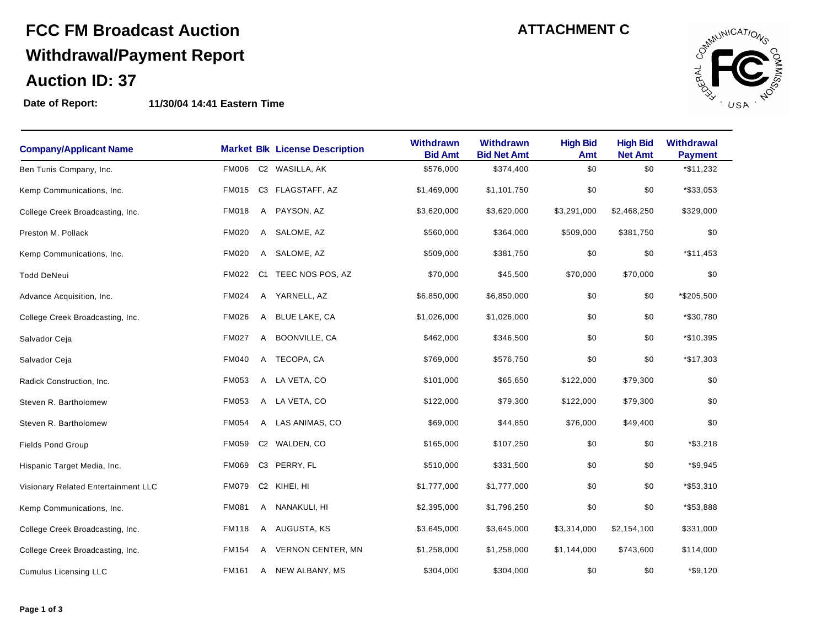# **FCC FM Broadcast Auction Withdrawal/Payment Report Auction ID: 37**

**Date of Report: 11/30/04 14:41 Eastern Time**

| <b>ATTACHMENT C</b> |  |
|---------------------|--|
|---------------------|--|



| <b>Company/Applicant Name</b>       |              |                | <b>Market Blk License Description</b> | Withdrawn<br><b>Bid Amt</b> | <b>Withdrawn</b><br><b>Bid Net Amt</b> | <b>High Bid</b><br>Amt | <b>High Bid</b><br><b>Net Amt</b> | <b>Withdrawal</b><br><b>Payment</b> |  |
|-------------------------------------|--------------|----------------|---------------------------------------|-----------------------------|----------------------------------------|------------------------|-----------------------------------|-------------------------------------|--|
| Ben Tunis Company, Inc.             | <b>FM006</b> |                | C2 WASILLA, AK                        | \$576,000                   | \$374,400                              | \$0                    | \$0                               | *\$11,232                           |  |
| Kemp Communications, Inc.           | <b>FM015</b> |                | C3 FLAGSTAFF, AZ                      | \$1,469,000                 | \$1,101,750                            | \$0                    | \$0                               | *\$33,053                           |  |
| College Creek Broadcasting, Inc.    | <b>FM018</b> | A              | PAYSON, AZ                            | \$3,620,000                 | \$3,620,000                            | \$3,291,000            | \$2,468,250                       | \$329,000                           |  |
| Preston M. Pollack                  | <b>FM020</b> | A              | SALOME, AZ                            | \$560,000                   | \$364,000                              | \$509,000              | \$381,750                         | \$0                                 |  |
| Kemp Communications, Inc.           | <b>FM020</b> | $\mathsf{A}$   | SALOME, AZ                            | \$509,000                   | \$381,750                              | \$0                    | \$0                               | *\$11,453                           |  |
| <b>Todd DeNeui</b>                  | <b>FM022</b> | C <sub>1</sub> | TEEC NOS POS, AZ                      | \$70,000                    | \$45,500                               | \$70,000               | \$70,000                          | \$0                                 |  |
| Advance Acquisition, Inc.           | FM024        |                | A YARNELL, AZ                         | \$6,850,000                 | \$6,850,000                            | \$0                    | \$0                               | *\$205,500                          |  |
| College Creek Broadcasting, Inc.    | <b>FM026</b> | A              | <b>BLUE LAKE, CA</b>                  | \$1,026,000                 | \$1,026,000                            | \$0                    | \$0                               | *\$30,780                           |  |
| Salvador Ceja                       | <b>FM027</b> | A              | BOONVILLE, CA                         | \$462,000                   | \$346,500                              | \$0                    | \$0                               | *\$10,395                           |  |
| Salvador Ceja                       | <b>FM040</b> | A              | TECOPA, CA                            | \$769,000                   | \$576,750                              | \$0                    | \$0                               | *\$17,303                           |  |
| Radick Construction, Inc.           | <b>FM053</b> | A              | LA VETA, CO                           | \$101,000                   | \$65,650                               | \$122,000              | \$79,300                          | \$0                                 |  |
| Steven R. Bartholomew               | FM053        |                | A LA VETA, CO                         | \$122,000                   | \$79,300                               | \$122,000              | \$79,300                          | \$0                                 |  |
| Steven R. Bartholomew               | <b>FM054</b> | A              | LAS ANIMAS, CO                        | \$69,000                    | \$44,850                               | \$76,000               | \$49,400                          | \$0                                 |  |
| <b>Fields Pond Group</b>            | <b>FM059</b> |                | C2 WALDEN, CO                         | \$165,000                   | \$107,250                              | \$0                    | \$0                               | $*$ \$3,218                         |  |
| Hispanic Target Media, Inc.         | <b>FM069</b> | C <sub>3</sub> | PERRY, FL                             | \$510,000                   | \$331,500                              | \$0                    | \$0                               | *\$9,945                            |  |
| Visionary Related Entertainment LLC | <b>FM079</b> | C <sub>2</sub> | KIHEI, HI                             | \$1,777,000                 | \$1,777,000                            | \$0                    | \$0                               | *\$53,310                           |  |
| Kemp Communications, Inc.           | <b>FM081</b> | A              | NANAKULI, HI                          | \$2,395,000                 | \$1,796,250                            | \$0                    | \$0                               | *\$53,888                           |  |
| College Creek Broadcasting, Inc.    | <b>FM118</b> | A              | AUGUSTA, KS                           | \$3,645,000                 | \$3,645,000                            | \$3,314,000            | \$2,154,100                       | \$331,000                           |  |
| College Creek Broadcasting, Inc.    | <b>FM154</b> | A              | <b>VERNON CENTER, MN</b>              | \$1,258,000                 | \$1,258,000                            | \$1,144,000            | \$743,600                         | \$114,000                           |  |
| Cumulus Licensing LLC               | FM161        | A              | NEW ALBANY, MS                        | \$304,000                   | \$304,000                              | \$0                    | \$0                               | $*$ \$9,120                         |  |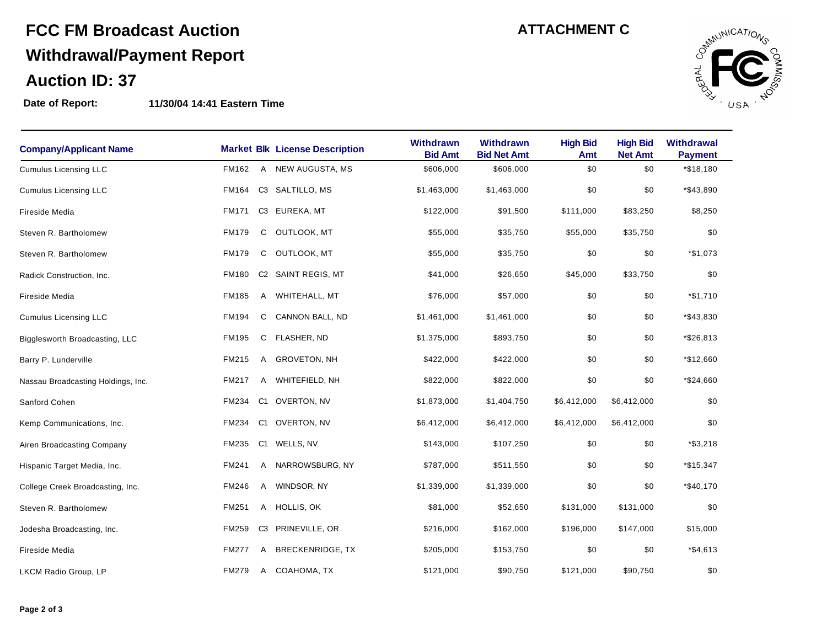# **FCC FM Broadcast Auction Withdrawal/Payment Report Auction ID: 37**

### **Date of Report: 11/30/04 14:41 Eastern Time**

|  |  |  | <b>ATTACHMENT C</b> |  |
|--|--|--|---------------------|--|
|  |  |  |                     |  |



| <b>Company/Applicant Name</b>      |              |                | <b>Market Blk License Description</b> | <b>Withdrawn</b><br><b>Bid Amt</b> | <b>Withdrawn</b><br><b>Bid Net Amt</b> | <b>High Bid</b><br>Amt | <b>High Bid</b><br><b>Net Amt</b> | Withdrawal<br><b>Payment</b> |  |
|------------------------------------|--------------|----------------|---------------------------------------|------------------------------------|----------------------------------------|------------------------|-----------------------------------|------------------------------|--|
| <b>Cumulus Licensing LLC</b>       | FM162        | A              | NEW AUGUSTA, MS                       | \$606,000                          | \$606,000                              | \$0                    | \$0                               | *\$18,180                    |  |
| <b>Cumulus Licensing LLC</b>       | FM164        |                | C3 SALTILLO, MS                       | \$1,463,000                        | \$1,463,000                            | \$0                    | \$0                               | *\$43,890                    |  |
| Fireside Media                     | FM171        |                | C3 EUREKA, MT                         | \$122,000                          | \$91,500                               | \$111,000              | \$83,250                          | \$8,250                      |  |
| Steven R. Bartholomew              | <b>FM179</b> | С              | OUTLOOK, MT                           | \$55,000                           | \$35,750                               | \$55,000               | \$35,750                          | \$0                          |  |
| Steven R. Bartholomew              | <b>FM179</b> | С              | OUTLOOK, MT                           | \$55,000                           | \$35,750                               | \$0                    | \$0                               | *\$1,073                     |  |
| Radick Construction, Inc.          | <b>FM180</b> |                | C2 SAINT REGIS, MT                    | \$41,000                           | \$26,650                               | \$45,000               | \$33,750                          | \$0                          |  |
| <b>Fireside Media</b>              | FM185        |                | A WHITEHALL, MT                       | \$76,000                           | \$57,000                               | \$0                    | \$0                               | $*$1,710$                    |  |
| <b>Cumulus Licensing LLC</b>       | <b>FM194</b> | С              | CANNON BALL, ND                       | \$1,461,000                        | \$1,461,000                            | \$0                    | \$0                               | *\$43,830                    |  |
| Bigglesworth Broadcasting, LLC     | FM195        | С              | FLASHER, ND                           | \$1,375,000                        | \$893,750                              | \$0                    | \$0                               | *\$26,813                    |  |
| Barry P. Lunderville               | FM215        | A              | <b>GROVETON, NH</b>                   | \$422,000                          | \$422,000                              | \$0                    | \$0                               | *\$12,660                    |  |
| Nassau Broadcasting Holdings, Inc. | FM217        | Α              | WHITEFIELD, NH                        | \$822,000                          | \$822,000                              | \$0                    | \$0                               | *\$24,660                    |  |
| Sanford Cohen                      | FM234        | C1             | OVERTON, NV                           | \$1,873,000                        | \$1,404,750                            | \$6,412,000            | \$6,412,000                       | \$0                          |  |
| Kemp Communications, Inc.          | <b>FM234</b> | C <sub>1</sub> | OVERTON, NV                           | \$6,412,000                        | \$6,412,000                            | \$6,412,000            | \$6,412,000                       | \$0                          |  |
| Airen Broadcasting Company         | <b>FM235</b> | C1             | WELLS, NV                             | \$143,000                          | \$107,250                              | \$0                    | \$0                               | $*$ \$3,218                  |  |
| Hispanic Target Media, Inc.        | FM241        | Α              | NARROWSBURG, NY                       | \$787,000                          | \$511,550                              | \$0                    | \$0                               | $*$15,347$                   |  |
| College Creek Broadcasting, Inc.   | FM246        | Α              | WINDSOR, NY                           | \$1,339,000                        | \$1,339,000                            | \$0                    | \$0                               | *\$40,170                    |  |
| Steven R. Bartholomew              | FM251        | A              | HOLLIS, OK                            | \$81,000                           | \$52,650                               | \$131,000              | \$131,000                         | \$0                          |  |
| Jodesha Broadcasting, Inc.         | FM259        | C3             | PRINEVILLE, OR                        | \$216,000                          | \$162,000                              | \$196,000              | \$147,000                         | \$15,000                     |  |
| Fireside Media                     | <b>FM277</b> | A              | <b>BRECKENRIDGE, TX</b>               | \$205,000                          | \$153,750                              | \$0                    | \$0                               | $*$ \$4,613                  |  |
| LKCM Radio Group, LP               | <b>FM279</b> | Α              | COAHOMA, TX                           | \$121,000                          | \$90,750                               | \$121,000              | \$90,750                          | \$0                          |  |